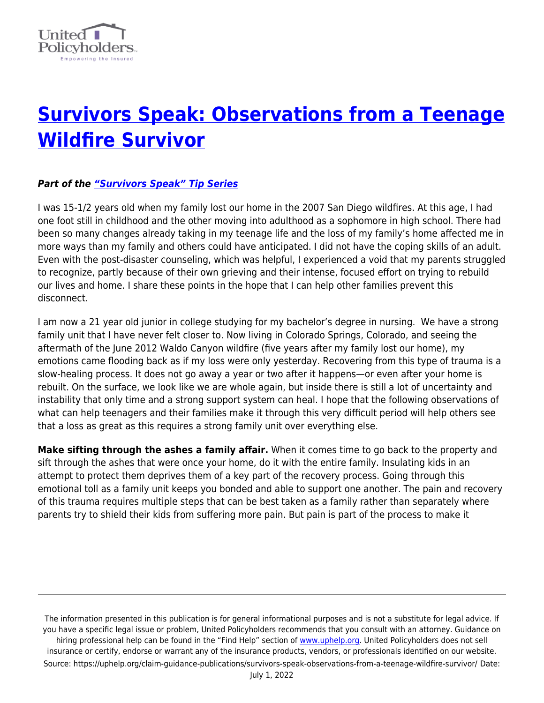

## **[Survivors Speak: Observations from a Teenage](https://uphelp.org/claim-guidance-publications/survivors-speak-observations-from-a-teenage-wildfire-survivor/) [Wildfire Survivor](https://uphelp.org/claim-guidance-publications/survivors-speak-observations-from-a-teenage-wildfire-survivor/)**

## *Part of the ["Survivors Speak" Tip Series](https://uphelp.org/claim-guidance-publications/survivors-speak-tip-series/)*

I was 15-1/2 years old when my family lost our home in the 2007 San Diego wildfires. At this age, I had one foot still in childhood and the other moving into adulthood as a sophomore in high school. There had been so many changes already taking in my teenage life and the loss of my family's home affected me in more ways than my family and others could have anticipated. I did not have the coping skills of an adult. Even with the post-disaster counseling, which was helpful, I experienced a void that my parents struggled to recognize, partly because of their own grieving and their intense, focused effort on trying to rebuild our lives and home. I share these points in the hope that I can help other families prevent this disconnect.

I am now a 21 year old junior in college studying for my bachelor's degree in nursing. We have a strong family unit that I have never felt closer to. Now living in Colorado Springs, Colorado, and seeing the aftermath of the June 2012 Waldo Canyon wildfire (five years after my family lost our home), my emotions came flooding back as if my loss were only yesterday. Recovering from this type of trauma is a slow-healing process. It does not go away a year or two after it happens—or even after your home is rebuilt. On the surface, we look like we are whole again, but inside there is still a lot of uncertainty and instability that only time and a strong support system can heal. I hope that the following observations of what can help teenagers and their families make it through this very difficult period will help others see that a loss as great as this requires a strong family unit over everything else.

**Make sifting through the ashes a family affair.** When it comes time to go back to the property and sift through the ashes that were once your home, do it with the entire family. Insulating kids in an attempt to protect them deprives them of a key part of the recovery process. Going through this emotional toll as a family unit keeps you bonded and able to support one another. The pain and recovery of this trauma requires multiple steps that can be best taken as a family rather than separately where parents try to shield their kids from suffering more pain. But pain is part of the process to make it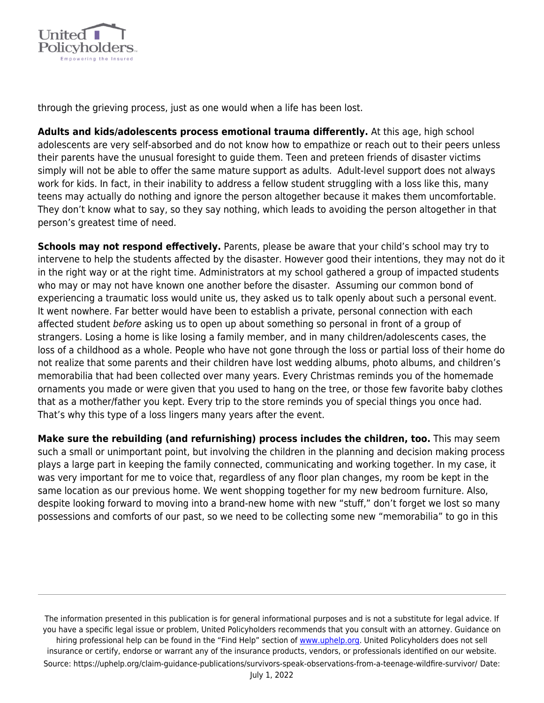

through the grieving process, just as one would when a life has been lost.

**Adults and kids/adolescents process emotional trauma differently.** At this age, high school adolescents are very self-absorbed and do not know how to empathize or reach out to their peers unless their parents have the unusual foresight to guide them. Teen and preteen friends of disaster victims simply will not be able to offer the same mature support as adults. Adult-level support does not always work for kids. In fact, in their inability to address a fellow student struggling with a loss like this, many teens may actually do nothing and ignore the person altogether because it makes them uncomfortable. They don't know what to say, so they say nothing, which leads to avoiding the person altogether in that person's greatest time of need.

**Schools may not respond effectively.** Parents, please be aware that your child's school may try to intervene to help the students affected by the disaster. However good their intentions, they may not do it in the right way or at the right time. Administrators at my school gathered a group of impacted students who may or may not have known one another before the disaster. Assuming our common bond of experiencing a traumatic loss would unite us, they asked us to talk openly about such a personal event. It went nowhere. Far better would have been to establish a private, personal connection with each affected student before asking us to open up about something so personal in front of a group of strangers. Losing a home is like losing a family member, and in many children/adolescents cases, the loss of a childhood as a whole. People who have not gone through the loss or partial loss of their home do not realize that some parents and their children have lost wedding albums, photo albums, and children's memorabilia that had been collected over many years. Every Christmas reminds you of the homemade ornaments you made or were given that you used to hang on the tree, or those few favorite baby clothes that as a mother/father you kept. Every trip to the store reminds you of special things you once had. That's why this type of a loss lingers many years after the event.

**Make sure the rebuilding (and refurnishing) process includes the children, too.** This may seem such a small or unimportant point, but involving the children in the planning and decision making process plays a large part in keeping the family connected, communicating and working together. In my case, it was very important for me to voice that, regardless of any floor plan changes, my room be kept in the same location as our previous home. We went shopping together for my new bedroom furniture. Also, despite looking forward to moving into a brand-new home with new "stuff," don't forget we lost so many possessions and comforts of our past, so we need to be collecting some new "memorabilia" to go in this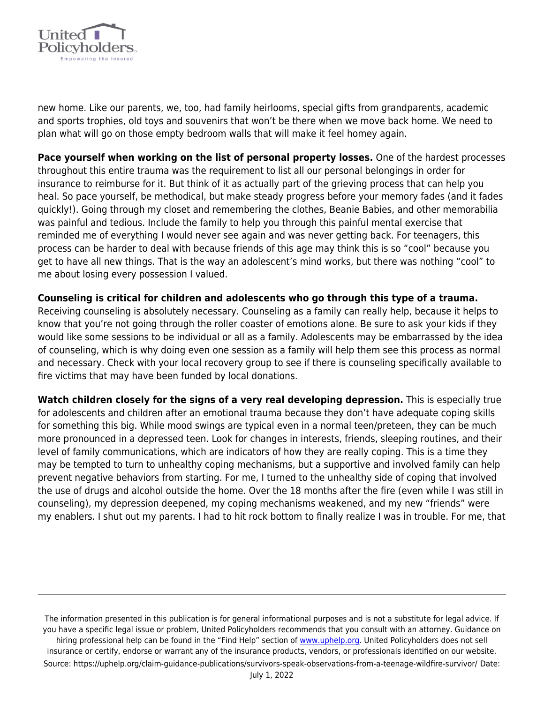

new home. Like our parents, we, too, had family heirlooms, special gifts from grandparents, academic and sports trophies, old toys and souvenirs that won't be there when we move back home. We need to plan what will go on those empty bedroom walls that will make it feel homey again.

**Pace yourself when working on the list of personal property losses.** One of the hardest processes throughout this entire trauma was the requirement to list all our personal belongings in order for insurance to reimburse for it. But think of it as actually part of the grieving process that can help you heal. So pace yourself, be methodical, but make steady progress before your memory fades (and it fades quickly!). Going through my closet and remembering the clothes, Beanie Babies, and other memorabilia was painful and tedious. Include the family to help you through this painful mental exercise that reminded me of everything I would never see again and was never getting back. For teenagers, this process can be harder to deal with because friends of this age may think this is so "cool" because you get to have all new things. That is the way an adolescent's mind works, but there was nothing "cool" to me about losing every possession I valued.

## **Counseling is critical for children and adolescents who go through this type of a trauma.**

Receiving counseling is absolutely necessary. Counseling as a family can really help, because it helps to know that you're not going through the roller coaster of emotions alone. Be sure to ask your kids if they would like some sessions to be individual or all as a family. Adolescents may be embarrassed by the idea of counseling, which is why doing even one session as a family will help them see this process as normal and necessary. Check with your local recovery group to see if there is counseling specifically available to fire victims that may have been funded by local donations.

**Watch children closely for the signs of a very real developing depression.** This is especially true for adolescents and children after an emotional trauma because they don't have adequate coping skills for something this big. While mood swings are typical even in a normal teen/preteen, they can be much more pronounced in a depressed teen. Look for changes in interests, friends, sleeping routines, and their level of family communications, which are indicators of how they are really coping. This is a time they may be tempted to turn to unhealthy coping mechanisms, but a supportive and involved family can help prevent negative behaviors from starting. For me, I turned to the unhealthy side of coping that involved the use of drugs and alcohol outside the home. Over the 18 months after the fire (even while I was still in counseling), my depression deepened, my coping mechanisms weakened, and my new "friends" were my enablers. I shut out my parents. I had to hit rock bottom to finally realize I was in trouble. For me, that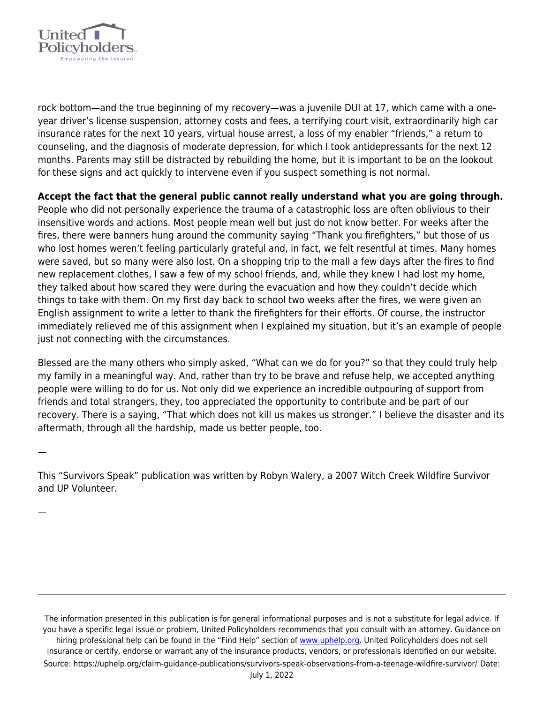

rock bottom—and the true beginning of my recovery—was a juvenile DUI at 17, which came with a oneyear driver's license suspension, attorney costs and fees, a terrifying court visit, extraordinarily high car insurance rates for the next 10 years, virtual house arrest, a loss of my enabler "friends," a return to counseling, and the diagnosis of moderate depression, for which I took antidepressants for the next 12 months. Parents may still be distracted by rebuilding the home, but it is important to be on the lookout for these signs and act quickly to intervene even if you suspect something is not normal.

**Accept the fact that the general public cannot really understand what you are going through.**

People who did not personally experience the trauma of a catastrophic loss are often oblivious to their insensitive words and actions. Most people mean well but just do not know better. For weeks after the fires, there were banners hung around the community saying "Thank you firefighters," but those of us who lost homes weren't feeling particularly grateful and, in fact, we felt resentful at times. Many homes were saved, but so many were also lost. On a shopping trip to the mall a few days after the fires to find new replacement clothes, I saw a few of my school friends, and, while they knew I had lost my home, they talked about how scared they were during the evacuation and how they couldn't decide which things to take with them. On my first day back to school two weeks after the fires, we were given an English assignment to write a letter to thank the firefighters for their efforts. Of course, the instructor immediately relieved me of this assignment when I explained my situation, but it's an example of people just not connecting with the circumstances.

Blessed are the many others who simply asked, "What can we do for you?" so that they could truly help my family in a meaningful way. And, rather than try to be brave and refuse help, we accepted anything people were willing to do for us. Not only did we experience an incredible outpouring of support from friends and total strangers, they, too appreciated the opportunity to contribute and be part of our recovery. There is a saying, "That which does not kill us makes us stronger." I believe the disaster and its aftermath, through all the hardship, made us better people, too.

—

—

This "Survivors Speak" publication was written by Robyn Walery, a 2007 Witch Creek Wildfire Survivor and UP Volunteer.